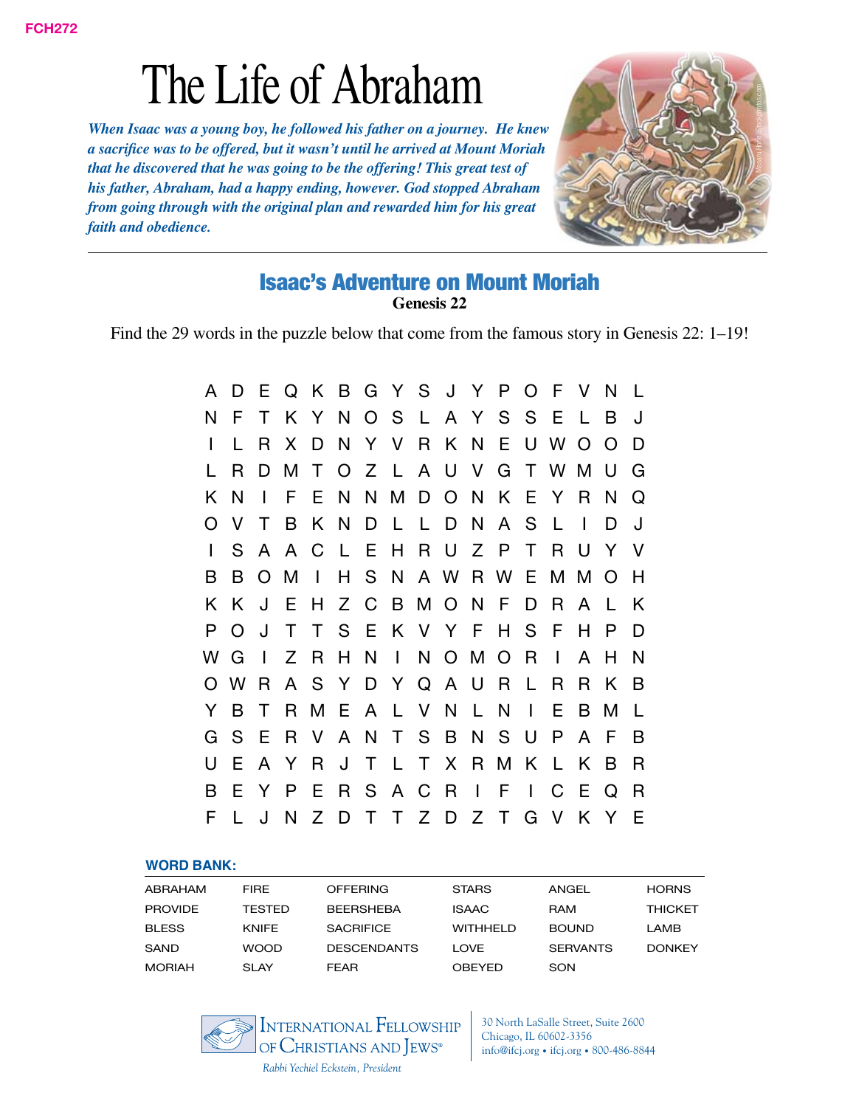*When Isaac was a young boy, he followed his father on a journey. He knew a sacrifice was to be offered, but it wasn't until he arrived at Mount Moriah that he discovered that he was going to be the offering! This great test of his father, Abraham, had a happy ending, however. God stopped Abraham from going through with the original plan and rewarded him for his great faith and obedience.*



#### Isaac's Adventure on Mount Moriah **Genesis 22**

Find the 29 words in the puzzle below that come from the famous story in Genesis 22: 1–19!

| A | D.           | E            |     |              |     |     |              |                     |          |                   |                | Q K B G Y S J Y P O F V   |              | $\overline{N}$ | $\perp$      |
|---|--------------|--------------|-----|--------------|-----|-----|--------------|---------------------|----------|-------------------|----------------|---------------------------|--------------|----------------|--------------|
| N | F            | Τ            |     | K Y          |     |     |              |                     |          | NOSLAYSSE         |                |                           | $\mathsf{L}$ | B              | J            |
| L |              | R.           | X.  | D            | N   |     |              |                     |          | Y V R K N E       |                | U W                       | $\Omega$     | $\Omega$       | D            |
|   | R            | D            | М   | $\mathsf{T}$ |     |     |              |                     |          |                   |                | O Z L A U V G T W M       |              | $\cup$         | G            |
| K | N            | $\mathbf{I}$ | F.  | E.           |     |     |              |                     |          |                   |                | N N M D O N K E Y         | R.           | N              | Q            |
|   | V            | T            | B   |              |     |     |              | KNDLLDN             |          | A S               |                | $\mathsf{L}$              | $\mathbf{I}$ |                | J            |
|   | S.           | A            | A   | C            |     |     |              | L E H R U Z P       |          |                   | $\top$         | R.                        | U            | Y.             | $\vee$       |
| В | В            |              | O M | $\mathbf{L}$ |     |     |              |                     |          |                   |                | H S N A W R W E M M O     |              |                | H            |
| K | K            | J            | Ε   | H            |     | Z C |              |                     |          | B M O N F         | D              | R                         | A            | $\mathbf{L}$   | K            |
| P | O            | J            | T   | T            |     |     |              |                     |          | S E K V Y F H S F |                |                           | H            | P              | D            |
| w | G            | $\mathbf{I}$ |     | Z R          | H N |     | $\mathbf{L}$ |                     |          | N O M O R         |                | $\mathbf{I}$              | A            | H.             | N            |
|   | W            |              |     |              |     |     |              | R A S Y D Y Q A U R |          |                   | $\mathsf{L}$   | R                         | R.           | K              | <sub>B</sub> |
| Y | B            | Τ            | R.  | M            |     |     | EALVN        |                     | <b>L</b> | N                 | $\blacksquare$ | Е                         | B            | M              | L            |
| G | S            | Е            | R.  |              |     |     |              | V A N T S B         | N        | S U               |                | P                         | A            | E              | B            |
|   | E            |              | A Y | <b>R</b>     | J   |     |              | T L T X R M         |          |                   | K              | $\mathsf{L}$              | K.           | B              | R            |
| B | Е            | Y            | P   | E            |     |     | R S A C R    |                     | $\Box$   | - F               | $\mathbf{I}$   | $\mathcal C$              | -E           | Q              | R            |
| F | $\mathbf{L}$ | J            |     |              |     |     |              |                     |          |                   |                | N Z D T T Z D Z T G V K Y |              |                | E            |

#### **Word Bank:**

| ABRAHAM        | <b>FIRE</b>  | <b>OFFERING</b>    | <b>STARS</b>    | ANGEL           | <b>HORNS</b>   |
|----------------|--------------|--------------------|-----------------|-----------------|----------------|
| <b>PROVIDE</b> | TESTED       | <b>BEERSHEBA</b>   | <b>ISAAC</b>    | <b>RAM</b>      | <b>THICKET</b> |
| <b>BLESS</b>   | <b>KNIFE</b> | <b>SACRIFICE</b>   | <b>WITHHELD</b> | <b>BOUND</b>    | LAMB           |
| SAND           | <b>WOOD</b>  | <b>DESCENDANTS</b> | LOVE            | <b>SERVANTS</b> | <b>DONKEY</b>  |
| <b>MORIAH</b>  | <b>SLAY</b>  | FFAR               | <b>OBEYED</b>   | SON             |                |



30 North LaSalle Street, Suite 2600 Chicago, IL 60602-3356 info@ifcj.org • ifcj.org • 800-486-8844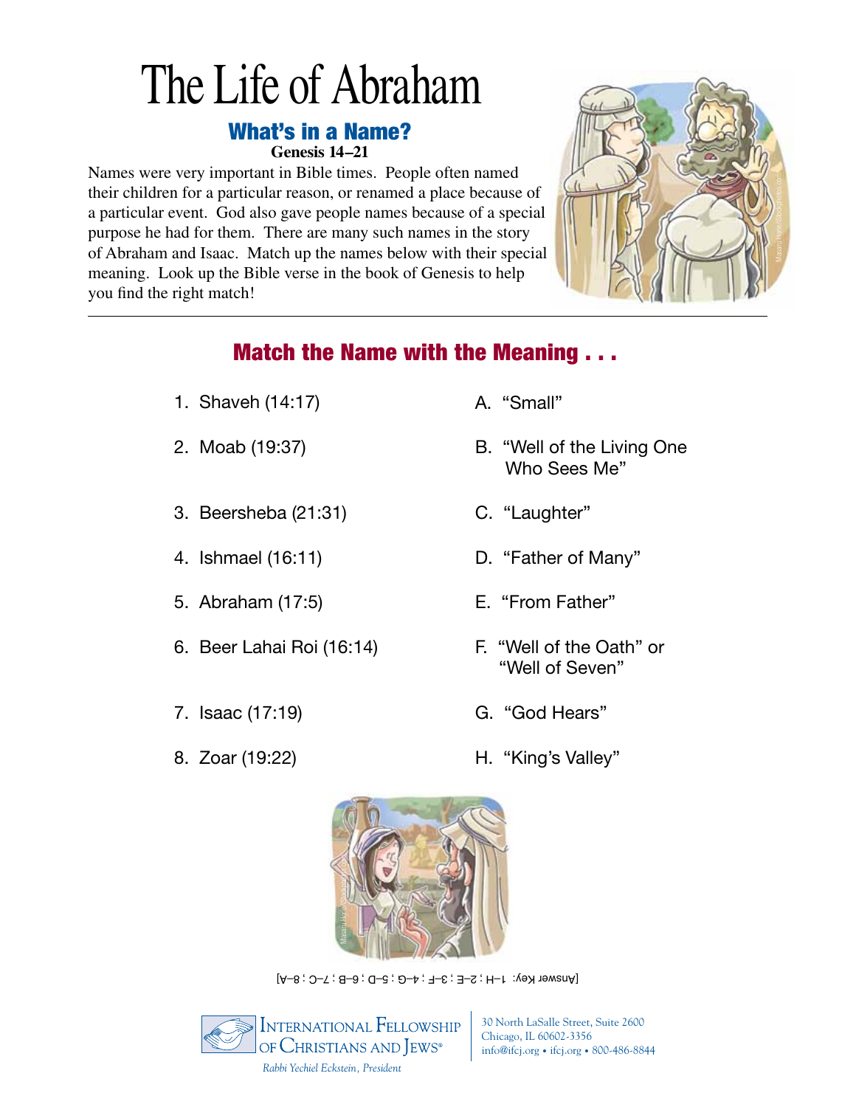#### What's in a Name? **Genesis 14–21**

Names were very important in Bible times. People often named their children for a particular reason, or renamed a place because of a particular event. God also gave people names because of a special purpose he had for them. There are many such names in the story of Abraham and Isaac. Match up the names below with their special meaning. Look up the Bible verse in the book of Genesis to help you find the right match!



### Match the Name with the Meaning . . .

- 1. Shaveh (14:17)
- 2. Moab (19:37)
- 3. Beersheba (21:31)
- 4. Ishmael (16:11)
- 5. Abraham (17:5)
- 6. Beer Lahai Roi (16:14)
- 7. Isaac (17:19)
- 8. Zoar (19:22)
- A. "Small"
- B. "Well of the Living One Who Sees Me"
- C. "Laughter"
- D. "Father of Many"
- E. "From Father"
- F. "Well of the Oath" or "Well of Seven"
- G. "God Hears"
- H. "King's Valley"



[Answer Key: 1–H ; 2–E ; 3–F ; 4–G ; 5–D ; 6–B ; 7–C ; 8–A]



30 North LaSalle Street, Suite 2600 Chicago, IL 60602-3356 info@ifcj.org • ifcj.org • 800-486-8844

*Rabbi Yechiel Eckstein, President*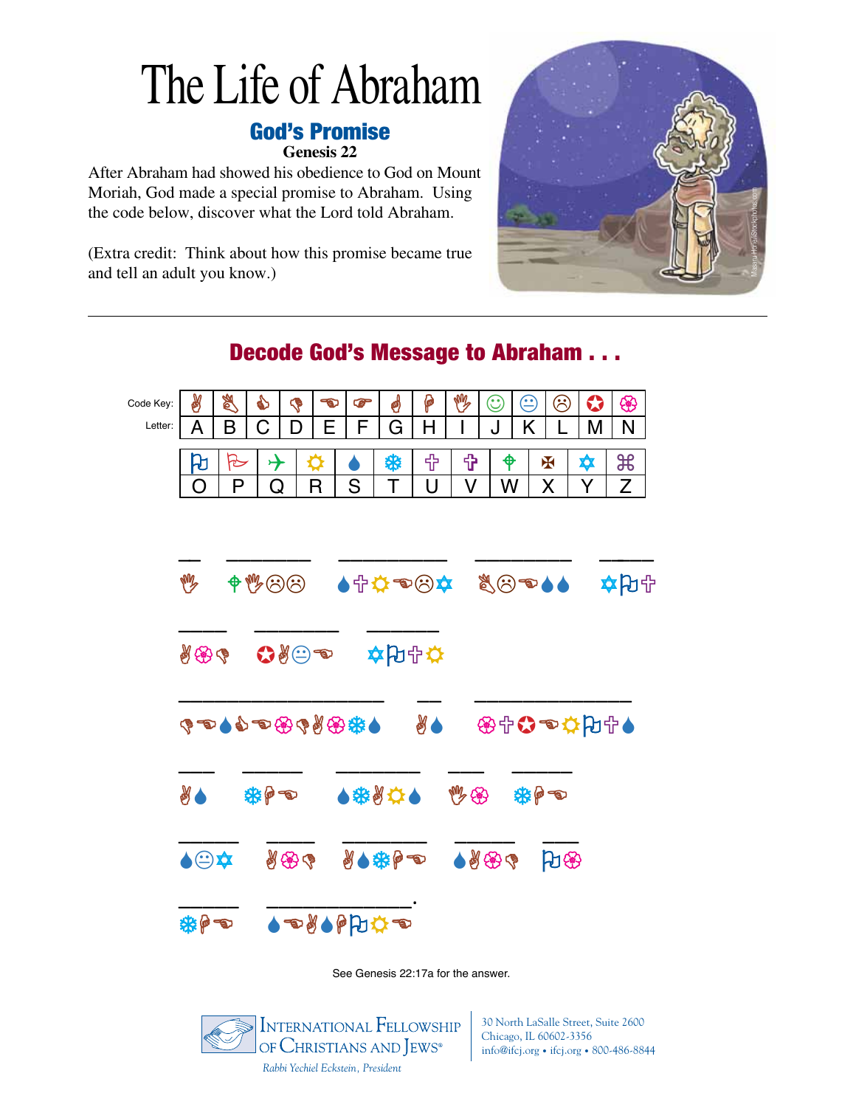## God's Promise

**Genesis 22**

After Abraham had showed his obedience to God on Mount Moriah, God made a special promise to Abraham. Using the code below, discover what the Lord told Abraham.

(Extra credit: Think about how this promise became true and tell an adult you know.)



### $\mathbb{A} \mid \mathbb{Z} \mid \mathbb{C} \mid \mathbb{C} \mid \mathbb{C} \mid \mathbb{C} \mid \mathbb{C} \mid \mathbb{C} \mid \mathbb{C} \mid \mathbb{C} \mid \mathbb{C} \mid \mathbb{C}$ <u>A | B | C | D | E | F | G | H | I | J | K | L | M | N</u> O P Q R S T U V W X Y <u>O | P | Q | R | S | T | U | V | W | X | Y | Z</u>  $\frac{1}{2}$  ,  $\frac{1}{2}$  ,  $\frac{1}{2}$  ,  $\frac{1}{2}$  ,  $\frac{1}{2}$  ,  $\frac{1}{2}$  ,  $\frac{1}{2}$  ,  $\frac{1}{2}$  ,  $\frac{1}{2}$  ,  $\frac{1}{2}$  ,  $\frac{1}{2}$  ,  $\frac{1}{2}$  ,  $\frac{1}{2}$  ,  $\frac{1}{2}$  ,  $\frac{1}{2}$  ,  $\frac{1}{2}$  ,  $\frac{1}{2}$  ,  $\frac{1}{2}$  ,  $\frac{1$ **৬ ቀ৬©© ১↑☆●©☆ %©●১১ ☆Ю**↑ \_\_\_\_ \_\_\_\_\_\_\_ \_\_\_\_\_\_  $\partial \mathscr{H} = \mathbf{Q}$ OPUATG AS OPSBEDGOOD  $\frac{1}{2}$  ,  $\frac{1}{2}$  ,  $\frac{1}{2}$  ,  $\frac{1}{2}$  ,  $\frac{1}{2}$  ,  $\frac{1}{2}$  ,  $\frac{1}{2}$  ,  $\frac{1}{2}$  ,  $\frac{1}{2}$  ,  $\frac{1}{2}$  ,  $\frac{1}{2}$  ,  $\frac{1}{2}$  ,  $\frac{1}{2}$  ,  $\frac{1}{2}$  ,  $\frac{1}{2}$  ,  $\frac{1}{2}$  ,  $\frac{1}{2}$  ,  $\frac{1}{2}$  ,  $\frac{1$ XAS THE STAND OF STAND AND \_\_\_\_\_ \_\_\_\_ \_\_\_\_\_\_\_ \_\_\_\_\_ \_\_\_ **AO A ROLE ROLLED AD ADDED ADDED** \_\_\_\_\_ \_\_\_\_\_\_\_\_\_\_\_\_. 第10回●●●●●●● Code Key: Letter:

See Genesis 22:17a for the answer.



30 North LaSalle Street, Suite 2600 Chicago, IL 60602-3356 info@ifcj.org • ifcj.org • 800-486-8844

### Decode God's Message to Abraham . . .